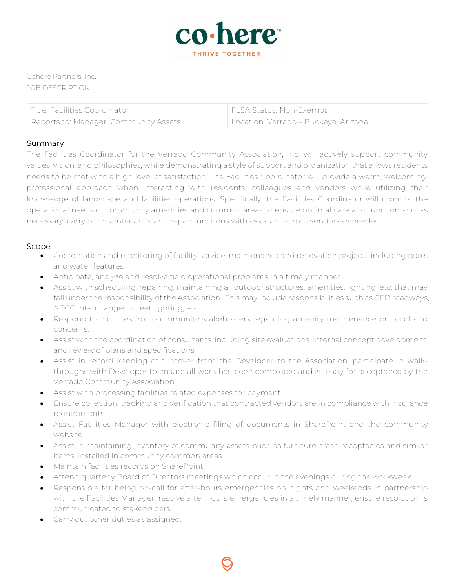

Cohere Partners, Inc. JOB DESCRIPTION

| l Title: Facilities Coordinator -     | FLSA Status: Non-Exempt              |
|---------------------------------------|--------------------------------------|
| Reports to: Manager, Community Assets | Location: Verrado – Buckeye, Arizona |

## Summary

The Facilities Coordinator for the Verrado Community Association, Inc. will actively support community values, vision, and philosophies, while demonstrating a style of support and organization that allows residents needs to be met with a high level of satisfaction. The Facilities Coordinator will provide a warm, welcoming, professional approach when interacting with residents, colleagues and vendors while utilizing their knowledge of landscape and facilities operations. Specifically, the Facilities Coordinator will monitor the operational needs of community amenities and common areas to ensure optimal care and function and, as necessary, carry out maintenance and repair functions with assistance from vendors as needed.

## Scope

- Coordination and monitoring of facility service, maintenance and renovation projects including pools and water features.
- Anticipate, analyze and resolve field operational problems in a timely manner.
- Assist with scheduling, repairing, maintaining all outdoor structures, amenities, lighting, etc. that may fall under the responsibility of the Association. This may include responsibilities such as CFD roadways, ADOT interchanges, street lighting, etc.
- Respond to inquiries from community stakeholders regarding amenity maintenance protocol and concerns.
- Assist with the coordination of consultants, including site evaluations, internal concept development, and review of plans and specifications.
- Assist in record keeping of turnover from the Developer to the Association; participate in walkthroughs with Developer to ensure all work has been completed and is ready for acceptance by the Verrado Community Association.
- Assist with processing facilities related expenses for payment.
- Ensure collection, tracking and verification that contracted vendors are in compliance with insurance requirements.
- Assist Facilities Manager with electronic filing of documents in SharePoint and the community website.
- Assist in maintaining inventory of community assets, such as furniture, trash receptacles and similar items, installed in community common areas.
- Maintain facilities records on SharePoint.
- Attend quarterly Board of Directors meetings which occur in the evenings during the workweek.
- Responsible for being on-call for after-hours emergencies on nights and weekends in partnership with the Facilities Manager; resolve after hours emergencies in a timely manner; ensure resolution is communicated to stakeholders.
- Carry out other duties as assigned.